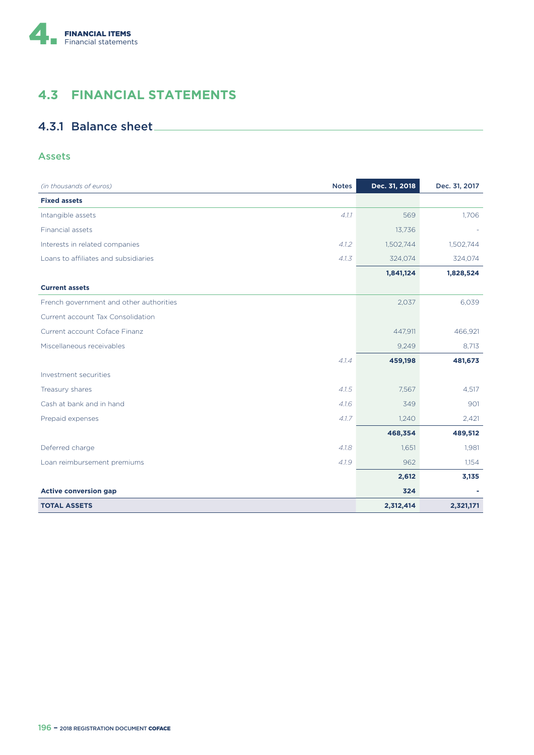

# **4.3 FINANCIAL STATEMENTS**

## 4.3.1 Balance sheet

### Assets

| (in thousands of euros)                 | <b>Notes</b> | Dec. 31, 2018 | Dec. 31, 2017 |
|-----------------------------------------|--------------|---------------|---------------|
| <b>Fixed assets</b>                     |              |               |               |
| Intangible assets                       | 4.1.1        | 569           | 1.706         |
| Financial assets                        |              | 13,736        |               |
| Interests in related companies          | 4.1.2        | 1,502,744     | 1,502,744     |
| Loans to affiliates and subsidiaries    | 4.1.3        | 324,074       | 324,074       |
|                                         |              | 1,841,124     | 1,828,524     |
| <b>Current assets</b>                   |              |               |               |
| French government and other authorities |              | 2,037         | 6,039         |
| Current account Tax Consolidation       |              |               |               |
| Current account Coface Finanz           |              | 447,911       | 466,921       |
| Miscellaneous receivables               |              | 9,249         | 8,713         |
|                                         | 4.1.4        | 459,198       | 481,673       |
| Investment securities                   |              |               |               |
| Treasury shares                         | 4.1.5        | 7,567         | 4,517         |
| Cash at bank and in hand                | 4.16         | 349           | 901           |
| Prepaid expenses                        | 4.1.7        | 1,240         | 2,421         |
|                                         |              | 468,354       | 489,512       |
| Deferred charge                         | 4.1.8        | 1,651         | 1,981         |
| Loan reimbursement premiums             | 4.1.9        | 962           | 1,154         |
|                                         |              | 2,612         | 3,135         |
| <b>Active conversion gap</b>            |              | 324           |               |
| <b>TOTAL ASSETS</b>                     |              | 2,312,414     | 2,321,171     |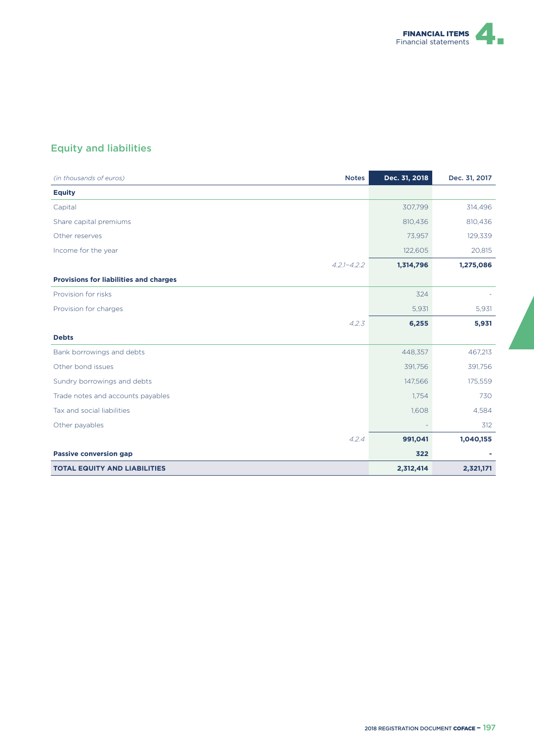

# Equity and liabilities

| <b>Notes</b><br>(in thousands of euros)       | Dec. 31, 2018 | Dec. 31, 2017 |
|-----------------------------------------------|---------------|---------------|
| <b>Equity</b>                                 |               |               |
| Capital                                       | 307,799       | 314,496       |
| Share capital premiums                        | 810,436       | 810,436       |
| Other reserves                                | 73,957        | 129,339       |
| Income for the year                           | 122,605       | 20,815        |
| $4.2.1 - 4.2.2$                               | 1,314,796     | 1,275,086     |
| <b>Provisions for liabilities and charges</b> |               |               |
| Provision for risks                           | 324           |               |
| Provision for charges                         | 5,931         | 5,931         |
| 4.2.3                                         | 6,255         | 5,931         |
| <b>Debts</b>                                  |               |               |
| Bank borrowings and debts                     | 448,357       | 467,213       |
| Other bond issues                             | 391,756       | 391,756       |
| Sundry borrowings and debts                   | 147,566       | 175,559       |
| Trade notes and accounts payables             | 1,754         | 730           |
| Tax and social liabilities                    | 1,608         | 4,584         |
| Other payables                                |               | 312           |
| 4.2.4                                         | 991,041       | 1,040,155     |
| <b>Passive conversion gap</b>                 | 322           |               |
| <b>TOTAL EQUITY AND LIABILITIES</b>           | 2,312,414     | 2,321,171     |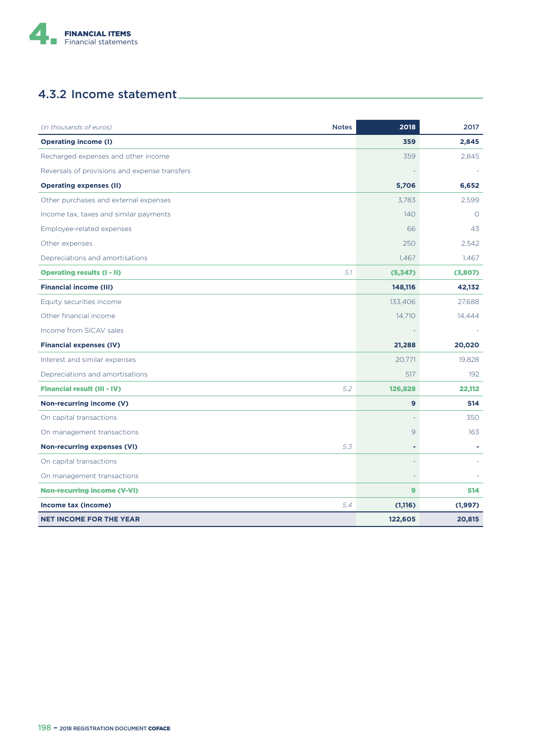

# 4.3.2 Income statement

| (in thousands of euros)<br><b>Notes</b>       | 2018          | 2017     |
|-----------------------------------------------|---------------|----------|
| <b>Operating income (I)</b>                   | 359           | 2,845    |
| Recharged expenses and other income           | 359           | 2,845    |
| Reversals of provisions and expense transfers |               |          |
| <b>Operating expenses (II)</b>                | 5,706         | 6,652    |
| Other purchases and external expenses         | 3,783         | 2,599    |
| Income tax, taxes and similar payments        | 140           | $\circ$  |
| Employee-related expenses                     | 66            | 43       |
| Other expenses                                | 250           | 2.542    |
| Depreciations and amortisations               | 1,467         | 1.467    |
| 5.1<br><b>Operating results (I - II)</b>      | (5,347)       | (3,807)  |
| <b>Financial income (III)</b>                 | 148,116       | 42,132   |
| Equity securities income                      | 133,406       | 27,688   |
| Other financial income                        | 14,710        | 14,444   |
| Income from SICAV sales                       |               |          |
| <b>Financial expenses (IV)</b>                | 21,288        | 20,020   |
| Interest and similar expenses                 | 20,771        | 19,828   |
| Depreciations and amortisations               | 517           | 192      |
| 5.2<br><b>Financial result (III - IV)</b>     | 126,828       | 22,112   |
| Non-recurring income (V)                      | 9             | 514      |
| On capital transactions                       |               | 350      |
| On management transactions                    | $\mathcal{Q}$ | 163      |
| <b>Non-recurring expenses (VI)</b><br>5.3     |               |          |
| On capital transactions                       |               |          |
| On management transactions                    |               |          |
| <b>Non-recurring income (V-VI)</b>            | $\mathbf{9}$  | 514      |
| 5.4<br>Income tax (income)                    | (1, 116)      | (1, 997) |
| <b>NET INCOME FOR THE YEAR</b>                | 122,605       | 20,815   |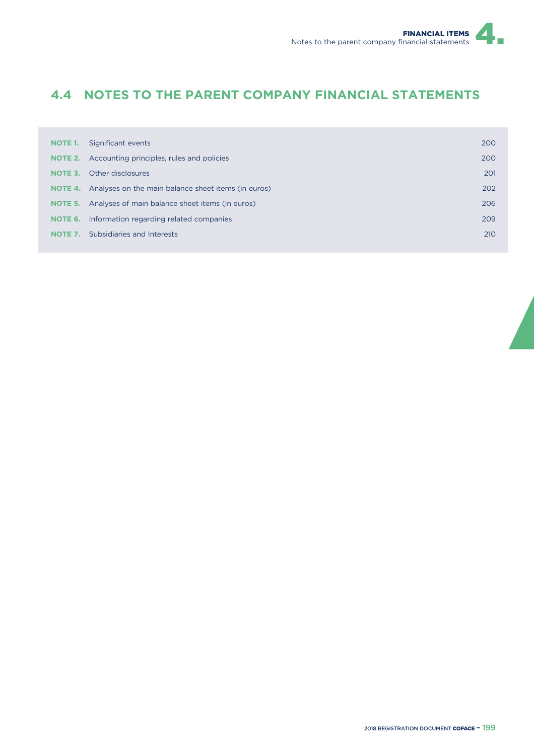# **4.4 NOTES TO THE PARENT COMPANY FINANCIAL STATEMENTS**

| NOTE 1. | Significant events                                                 | 200 |
|---------|--------------------------------------------------------------------|-----|
| NOTE 2. | Accounting principles, rules and policies                          | 200 |
| NOTE 3. | Other disclosures                                                  | 201 |
|         | <b>NOTE 4.</b> Analyses on the main balance sheet items (in euros) | 202 |
|         | <b>NOTE 5.</b> Analyses of main balance sheet items (in euros)     | 206 |
| NOTE 6. | Information regarding related companies                            | 209 |
| NOTE 7. | Subsidiaries and Interests                                         | 210 |
|         |                                                                    |     |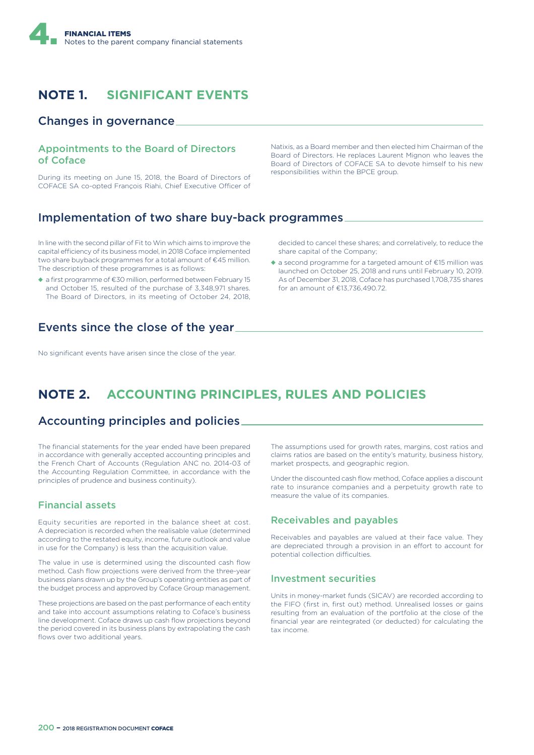

# **NOTE 1. SIGNIFICANT EVENTS**

### Changes in governance

#### Appointments to the Board of Directors of Coface

During its meeting on June 15, 2018, the Board of Directors of COFACE SA co-opted Francois Riahi, Chief Executive Officer of Natixis, as a Board member and then elected him Chairman of the Board of Directors. He replaces Laurent Mignon who leaves the Board of Directors of COFACE SA to devote himself to his new responsibilities within the BPCE group.

## Implementation of two share buy-back programmes

In line with the second pillar of Fit to Win which aims to improve the capital efficiency of its business model, in 2018 Coface implemented two share buyback programmes for a total amount of €45 million. The description of these programmes is as follows:

◆ a first programme of €30 million, performed between February 15 and October 15, resulted of the purchase of 3,348,971 shares. The Board of Directors, in its meeting of October 24, 2018,

Events since the close of the year

No significant events have arisen since the close of the year.

decided to cancel these shares; and correlatively, to reduce the share capital of the Company;

 $\triangle$  a second programme for a targeted amount of  $\epsilon$ 15 million was launched on October 25, 2018 and runs until February 10, 2019. As of December 31, 2018, Coface has purchased 1,708,735 shares for an amount of €13,736,490.72.

# **NOTE 2. ACCOUNTING PRINCIPLES, RULES AND POLICIES**

### Accounting principles and policies

The financial statements for the year ended have been prepared in accordance with generally accepted accounting principles and the French Chart of Accounts (Regulation ANC no. 2014-03 of the Accounting Regulation Committee, in accordance with the principles of prudence and business continuity).

### Financial assets

Equity securities are reported in the balance sheet at cost. A depreciation is recorded when the realisable value (determined according to the restated equity, income, future outlook and value in use for the Company) is less than the acquisition value.

The value in use is determined using the discounted cash flow method. Cash flow projections were derived from the three-year business plans drawn up by the Group's operating entities as part of the budget process and approved by Coface Group management.

These projections are based on the past performance of each entity and take into account assumptions relating to Coface's business line development. Coface draws up cash flow projections beyond the period covered in its business plans by extrapolating the cash flows over two additional years.

The assumptions used for growth rates, margins, cost ratios and claims ratios are based on the entity's maturity, business history, market prospects, and geographic region.

Under the discounted cash flow method, Coface applies a discount rate to insurance companies and a perpetuity growth rate to measure the value of its companies.

#### Receivables and payables

Receivables and payables are valued at their face value. They are depreciated through a provision in an effort to account for potential collection difficulties.

#### Investment securities

Units in money-market funds (SICAV) are recorded according to the FIFO (first in, first out) method. Unrealised losses or gains resulting from an evaluation of the portfolio at the close of the financial year are reintegrated (or deducted) for calculating the tax income.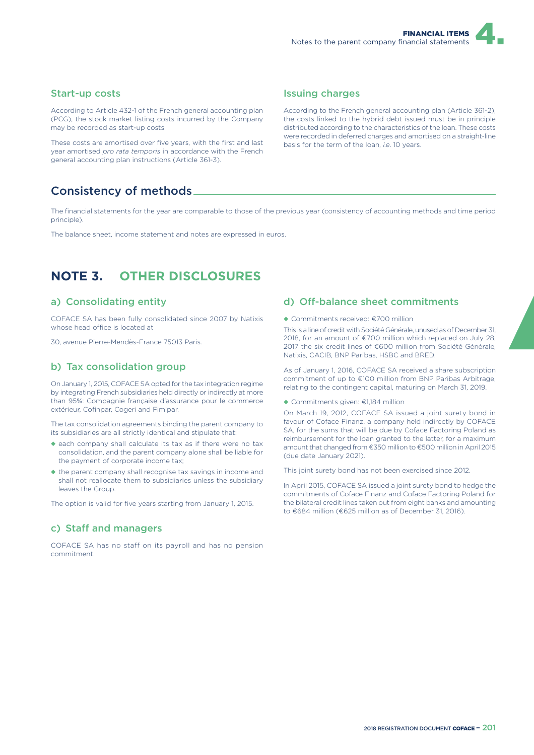#### Start-up costs

According to Article 432-1 of the French general accounting plan (PCG), the stock market listing costs incurred by the Company may be recorded as start-up costs.

These costs are amortised over five years, with the first and last year amortised *pro rata temporis* in accordance with the French general accounting plan instructions (Article 361-3).

### Consistency of methods

The financial statements for the year are comparable to those of the previous year (consistency of accounting methods and time period principle).

The balance sheet, income statement and notes are expressed in euros.

## **NOTE 3. OTHER DISCLOSURES**

#### a) Consolidating entity

COFACE SA has been fully consolidated since 2007 by Natixis whose head office is located at

30, avenue Pierre-Mendès-France 75013 Paris.

#### b) Tax consolidation group

On January 1, 2015, COFACE SA opted for the tax integration regime by integrating French subsidiaries held directly or indirectly at more than 95%: Compagnie française d'assurance pour le commerce extérieur, Cofinpar, Cogeri and Fimipar.

The tax consolidation agreements binding the parent company to its subsidiaries are all strictly identical and stipulate that:

- ◆ each company shall calculate its tax as if there were no tax consolidation, and the parent company alone shall be liable for the payment of corporate income tax;
- ◆ the parent company shall recognise tax savings in income and shall not reallocate them to subsidiaries unless the subsidiary leaves the Group.

The option is valid for five years starting from January 1, 2015.

#### c) Staff and managers

COFACE SA has no staff on its payroll and has no pension commitment.

#### Issuing charges

According to the French general accounting plan (Article 361-2), the costs linked to the hybrid debt issued must be in principle distributed according to the characteristics of the loan. These costs were recorded in deferred charges and amortised on a straight-line basis for the term of the loan, *i.e*. 10 years.

#### d) Off-balance sheet commitments

#### ◆ Commitments received: €700 million

This is a line of credit with Société Générale, unused as of December 31, 2018, for an amount of €700 million which replaced on July 28. 2017 the six credit lines of €600 million from Société Générale, Natixis, CACIB, BNP Paribas, HSBC and BRED.

As of January 1, 2016, COFACE SA received a share subscription commitment of up to €100 million from BNP Paribas Arbitrage, relating to the contingent capital, maturing on March 31, 2019.

#### ◆ Commitments given: €1,184 million

On March 19, 2012, COFACE SA issued a joint surety bond in favour of Coface Finanz, a company held indirectly by COFACE SA, for the sums that will be due by Coface Factoring Poland as reimbursement for the loan granted to the latter, for a maximum amount that changed from €350 million to €500 million in April 2015 (due date January 2021).

This joint surety bond has not been exercised since 2012.

In April 2015, COFACE SA issued a joint surety bond to hedge the commitments of Coface Finanz and Coface Factoring Poland for the bilateral credit lines taken out from eight banks and amounting to €684 million (€625 million as of December 31, 2016).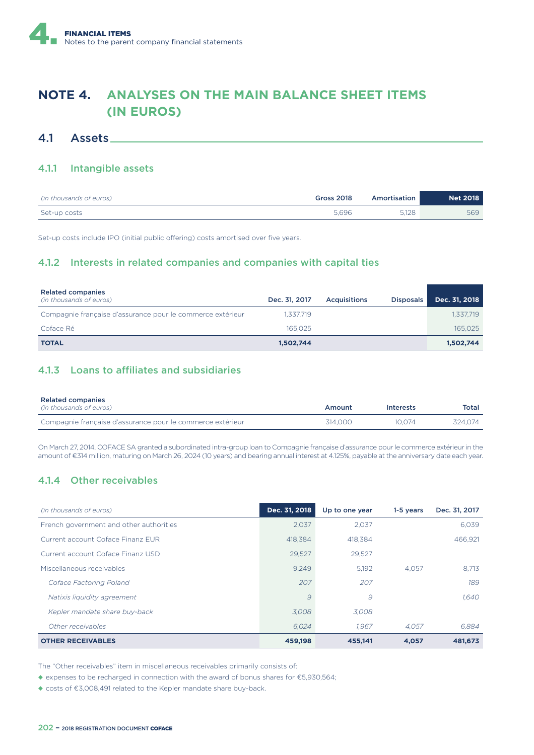# **NOTE 4. ANALYSES ON THE MAIN BALANCE SHEET ITEMS (IN EUROS)**

### 4.1 Assets

#### 4.1.1 Intangible assets

| (in thousands of euros) | <b>Gross 2018</b> | Amortisation | <b>Net 2018</b> |
|-------------------------|-------------------|--------------|-----------------|
| Set-up costs            | 5.696             | 5.128        | 569             |

Set-up costs include IPO (initial public offering) costs amortised over five years.

### 4.1.2 Interests in related companies and companies with capital ties

| <b>Related companies</b><br>(in thousands of euros)        | Dec. 31, 2017 | <b>Acquisitions</b> | <b>Disposals</b> | Dec. 31, 2018 |
|------------------------------------------------------------|---------------|---------------------|------------------|---------------|
| Compagnie française d'assurance pour le commerce extérieur | 1.337.719     |                     |                  | 1,337,719     |
| Coface Ré                                                  | 165.025       |                     |                  | 165,025       |
| <b>TOTAL</b>                                               | 1,502,744     |                     |                  | 1,502,744     |

### 4.1.3 Loans to affiliates and subsidiaries

| <b>Related companies</b><br>(in thousands of euros)        | Amount  | <b>Interests</b> | Total   |
|------------------------------------------------------------|---------|------------------|---------|
| Compagnie française d'assurance pour le commerce extérieur | 314.000 | 10.074           | 324.074 |

On March 27, 2014, COFACE SA granted a subordinated intra-group loan to Compagnie française d'assurance pour le commerce extérieur in the amount of €314 million, maturing on March 26, 2024 (10 years) and bearing annual interest at 4.125%, payable at the anniversary date each year.

### 4.1.4 Other receivables

| (in thousands of euros)                 | Dec. 31, 2018 | Up to one year | 1-5 years | Dec. 31, 2017 |
|-----------------------------------------|---------------|----------------|-----------|---------------|
| French government and other authorities | 2.037         | 2.037          |           | 6.039         |
| Current account Coface Finanz FUR       | 418.384       | 418.384        |           | 466.921       |
| Current account Coface Finanz USD       | 29,527        | 29,527         |           |               |
| Miscellaneous receivables               | 9.249         | 5.192          | 4.057     | 8.713         |
| Coface Factoring Poland                 | 207           | 207            |           | 189           |
| Natixis liquidity agreement             | 9             | 9              |           | 1.640         |
| Kepler mandate share buy-back           | 3.008         | 3.008          |           |               |
| Other receivables                       | 6.024         | 1.967          | 4.057     | 6.884         |
| <b>OTHER RECEIVABLES</b>                | 459,198       | 455.141        | 4.057     | 481,673       |

The "Other receivables" item in miscellaneous receivables primarily consists of:

◆ expenses to be recharged in connection with the award of bonus shares for €5,930,564;

◆ costs of €3,008,491 related to the Kepler mandate share buy-back.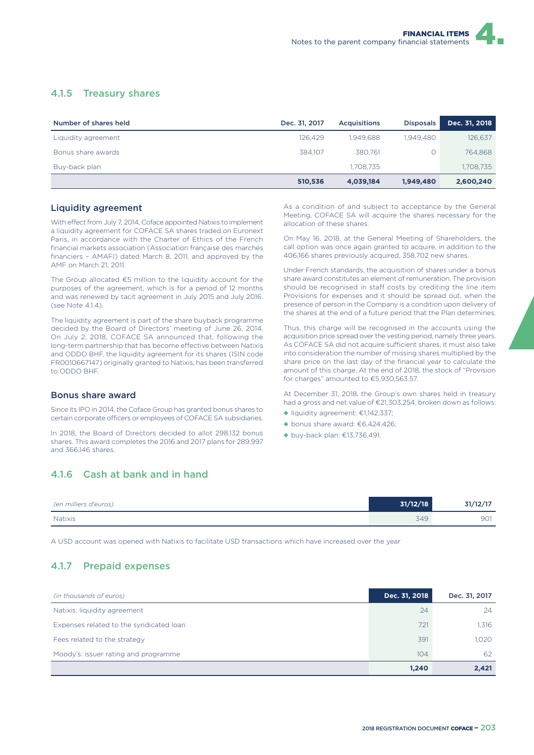### 4.1.5 Treasury shares

| Number of shares held | Dec. 31, 2017 | <b>Acquisitions</b> | <b>Disposals</b> | Dec. 31, 2018 |
|-----------------------|---------------|---------------------|------------------|---------------|
| Liquidity agreement   | 126.429       | 1.949.688           | 1.949.480        | 126,637       |
| Bonus share awards    | 384.107       | 380.761             |                  | 764.868       |
| Buy-back plan         |               | 1.708.735           |                  | 1,708,735     |
|                       | 510,536       | 4,039,184           | 1,949,480        | 2,600,240     |

#### Liquidity agreement

With effect from July 7, 2014, Coface appointed Natixis to implement a liquidity agreement for COFACE SA shares traded on Euronext Paris, in accordance with the Charter of Ethics of the French financial markets association (Association française des marchés financiers – AMAFI) dated March 8, 2011, and approved by the AMF on March 21, 2011.

The Group allocated €5 million to the liquidity account for the purposes of the agreement, which is for a period of 12 months and was renewed by tacit agreement in July 2015 and July 2016.  $(sepA)$  Note  $414$ 

The liquidity agreement is part of the share buyback programme decided by the Board of Directors' meeting of June 26, 2014. On July 2, 2018, COFACE SA announced that, following the long-term partnership that has become effective between Natixis and ODDO BHF, the liquidity agreement for its shares (ISIN code FR0010667147) originally granted to Natixis, has been transferred to ODDO BHF.

#### Bonus share award

Since its IPO in 2014, the Coface Group has granted bonus shares to certain corporate officers or employees of COFACE SA subsidiaries.

In 2018, the Board of Directors decided to allot 298,132 bonus shares. This award completes the 2016 and 2017 plans for 289,997 and 366,146 shares.

As a condition of and subject to acceptance by the General Meeting, COFACE SA will acquire the shares necessary for the allocation of these shares.

On May 16, 2018, at the General Meeting of Shareholders, the call option was once again granted to acquire, in addition to the 406,166 shares previously acquired, 358,702 new shares.

Under French standards, the acquisition of shares under a bonus share award constitutes an element of remuneration. The provision should be recognised in staff costs by crediting the line item Provisions for expenses and it should be spread out, when the presence of person in the Company is a condition upon delivery of the shares at the end of a future period that the Plan determines.

Thus, this charge will be recognised in the accounts using the acquisition price spread over the vesting period, namely three years. As COFACE SA did not acquire sufficient shares, it must also take into consideration the number of missing shares multiplied by the share price on the last day of the financial year to calculate the amount of this charge. At the end of 2018, the stock of "Provision for charges" amounted to €5,930,563.57.

At December 31, 2018, the Group's own shares held in treasury had a gross and net value of €21,303,254, broken down as follows:

- ◆ liquidity agreement: €1,142,337;
- $\blacklozenge$  bonus share award:  $\epsilon$ 6,424,426;
- ◆ buy-back plan: €13,736,491.

### 4.1.6 Cash at bank and in hand

| (en milliers d'euros) | 31/12/18 | 31/12/17 |
|-----------------------|----------|----------|
| Natixis               | 349      | 901      |

A USD account was opened with Natixis to facilitate USD transactions which have increased over the year

### 4.1.7 Prepaid expenses

| (in thousands of euros)                 | Dec. 31, 2018 | Dec. 31, 2017 |
|-----------------------------------------|---------------|---------------|
| Natixis: liquidity agreement            | 24            | 24            |
| Expenses related to the syndicated loan | 721           | 1,316         |
| Fees related to the strategy            | 391           | 1.020         |
| Moody's: issuer rating and programme    | 104           | 62            |
|                                         | 1.240         | 2,421         |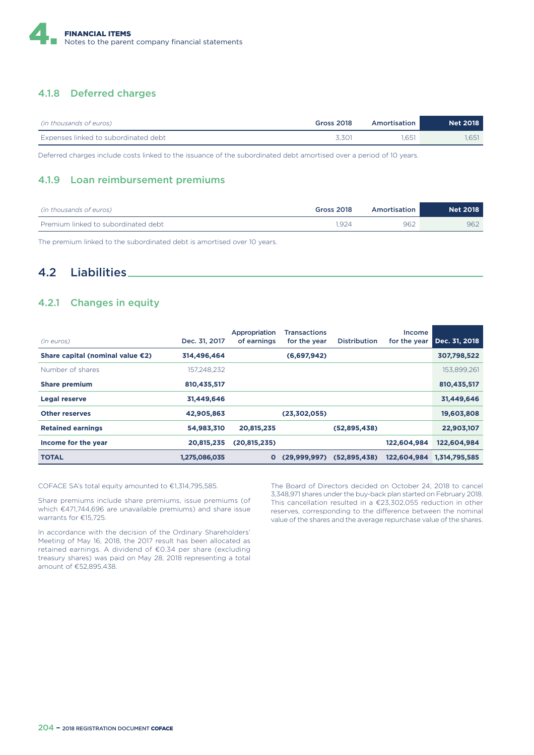

### 4.1.8 Deferred charges

| (in thousands of euros)              | <b>Gross 2018</b> | Amortisation | Net 2018 |
|--------------------------------------|-------------------|--------------|----------|
| Expenses linked to subordinated debt | 3.301             | .651         | 1.651    |

Deferred charges include costs linked to the issuance of the subordinated debt amortised over a period of 10 years.

#### 4.1.9 Loan reimbursement premiums

| (in thousands of euros)             | <b>Gross 2018</b> | Amortisation | <b>Net 2018</b> |
|-------------------------------------|-------------------|--------------|-----------------|
| Premium linked to subordinated debt | .924              | 962          | 962             |

The premium linked to the subordinated debt is amortised over 10 years.

### 4.2 Liabilities

### 4.2.1 Changes in equity

| (in euros)                       | Dec. 31, 2017 | Appropriation<br>of earnings | <b>Transactions</b><br>for the year | <b>Distribution</b> | Income<br>for the year | Dec. 31, 2018 |
|----------------------------------|---------------|------------------------------|-------------------------------------|---------------------|------------------------|---------------|
| Share capital (nominal value €2) | 314,496,464   |                              | (6,697,942)                         |                     |                        | 307,798,522   |
| Number of shares                 | 157,248,232   |                              |                                     |                     |                        | 153,899,261   |
| <b>Share premium</b>             | 810,435,517   |                              |                                     |                     |                        | 810,435,517   |
| <b>Legal reserve</b>             | 31,449,646    |                              |                                     |                     |                        | 31,449,646    |
| <b>Other reserves</b>            | 42,905,863    |                              | (23,302,055)                        |                     |                        | 19,603,808    |
| <b>Retained earnings</b>         | 54,983,310    | 20,815,235                   |                                     | (52,895,438)        |                        | 22,903,107    |
| Income for the year              | 20,815,235    | (20, 815, 235)               |                                     |                     | 122,604,984            | 122,604,984   |
| <b>TOTAL</b>                     | 1,275,086,035 | $\mathbf{o}$                 | (29,999,997)                        | (52,895,438)        | 122,604,984            | 1,314,795,585 |

#### COFACE SA's total equity amounted to €1,314,795,585.

Share premiums include share premiums, issue premiums (of which €471,744,696 are unavailable premiums) and share issue warrants for €15,725.

In accordance with the decision of the Ordinary Shareholders' Meeting of May 16, 2018, the 2017 result has been allocated as retained earnings. A dividend of €0.34 per share (excluding treasury shares) was paid on May 28, 2018 representing a total amount of €52,895,438.

The Board of Directors decided on October 24, 2018 to cancel 3,348,971 shares under the buy-back plan started on February 2018. This cancellation resulted in a €23,302,055 reduction in other reserves, corresponding to the difference between the nominal value of the shares and the average repurchase value of the shares.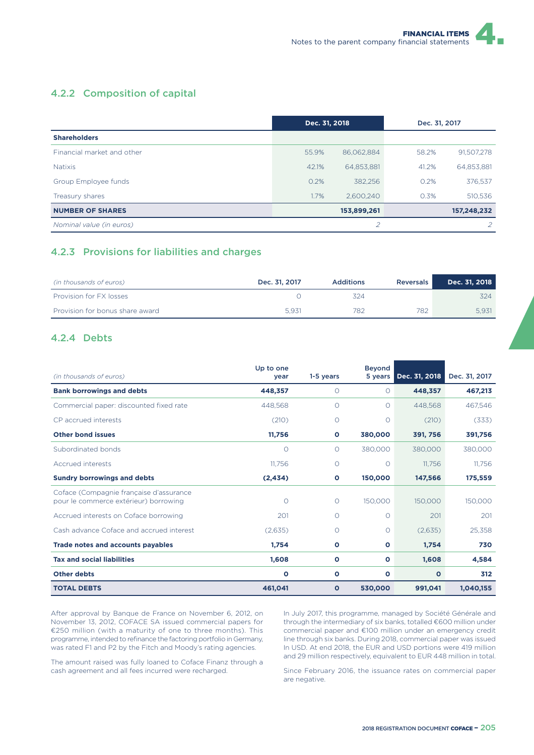### 4.2.2 Composition of capital

|                            | Dec. 31, 2018 |             | Dec. 31, 2017 |             |
|----------------------------|---------------|-------------|---------------|-------------|
| <b>Shareholders</b>        |               |             |               |             |
| Financial market and other | 55.9%         | 86,062,884  | 58.2%         | 91,507,278  |
| <b>Natixis</b>             | 42.1%         | 64,853,881  | 41.2%         | 64,853,881  |
| Group Employee funds       | 0.2%          | 382,256     | 0.2%          | 376,537     |
| Treasury shares            | 1.7%          | 2.600.240   | 0.3%          | 510,536     |
| <b>NUMBER OF SHARES</b>    |               | 153,899,261 |               | 157,248,232 |
| Nominal value (in euros)   |               | 2           |               | 2           |

### 4.2.3 Provisions for liabilities and charges

| (in thousands of euros)         | Dec. 31, 2017 | <b>Additions</b> | Reversals | Dec. 31, 2018 |
|---------------------------------|---------------|------------------|-----------|---------------|
| Provision for FX losses         |               | 324              |           | 324           |
| Provision for bonus share award | 5.931         | 782              | 782       | 5.931         |

#### 4.2.4 Debts

| (in thousands of euros)                                                          | Up to one<br>year | 1-5 years    | <b>Bevond</b><br>5 years | Dec. 31, 2018 | Dec. 31, 2017 |
|----------------------------------------------------------------------------------|-------------------|--------------|--------------------------|---------------|---------------|
| <b>Bank borrowings and debts</b>                                                 | 448,357           | $\circ$      | $\circ$                  | 448,357       | 467,213       |
| Commercial paper: discounted fixed rate                                          | 448.568           | $\circ$      | $\Omega$                 | 448.568       | 467.546       |
| CP accrued interests                                                             | (210)             | 0            | O                        | (210)         | (333)         |
| <b>Other bond issues</b>                                                         | 11,756            | $\circ$      | 380,000                  | 391, 756      | 391,756       |
| Subordinated bonds                                                               | $\circ$           | $\circ$      | 380,000                  | 380,000       | 380,000       |
| Accrued interests                                                                | 11,756            | O            | $\circ$                  | 11,756        | 11.756        |
| <b>Sundry borrowings and debts</b>                                               | (2, 434)          | $\circ$      | 150,000                  | 147,566       | 175,559       |
| Coface (Compagnie française d'assurance<br>pour le commerce extérieur) borrowing | $\Omega$          | $\circ$      | 150,000                  | 150,000       | 150,000       |
| Accrued interests on Coface borrowing                                            | 201               | O            | $\Omega$                 | 201           | 201           |
| Cash advance Coface and accrued interest                                         | (2,635)           | O            | $\circ$                  | (2,635)       | 25,358        |
| <b>Trade notes and accounts payables</b>                                         | 1,754             | $\mathbf{o}$ | $\circ$                  | 1,754         | 730           |
| <b>Tax and social liabilities</b>                                                | 1,608             | $\mathbf{o}$ | $\circ$                  | 1,608         | 4,584         |
| <b>Other debts</b>                                                               | O                 | $\mathbf{o}$ | O                        | O             | 312           |
| <b>TOTAL DEBTS</b>                                                               | 461,041           | $\mathbf{o}$ | 530,000                  | 991,041       | 1,040,155     |

After approval by Banque de France on November 6, 2012, on November 13, 2012, COFACE SA issued commercial papers for €250 million (with a maturity of one to three months). This programme, intended to refinance the factoring portfolio in Germany, was rated F1 and P2 by the Fitch and Moody's rating agencies.

In July 2017, this programme, managed by Société Générale and through the intermediary of six banks, totalled €600 million under commercial paper and €100 million under an emergency credit line through six banks. During 2018, commercial paper was issued In USD. At end 2018, the EUR and USD portions were 419 million and 29 million respectively, equivalent to EUR 448 million in total.

The amount raised was fully loaned to Coface Finanz through a cash agreement and all fees incurred were recharged.

Since February 2016, the issuance rates on commercial paper are negative.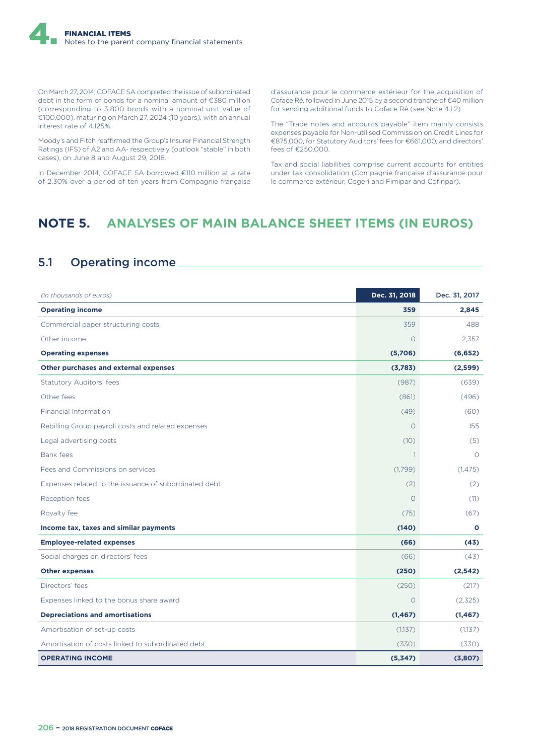On March 27, 2014, COFACE SA completed the issue of subordinated debt in the form of bonds for a nominal amount of €380 million (corresponding to 3,800 bonds with a nominal unit value of €100,000), maturing on March 27, 2024 (10 years), with an annual interest rate of 4.125%.

Moody's and Fitch reaffirmed the Group's Insurer Financial Strength Ratings (IFS) of A2 and AA- respectively (outlook "stable" in both cases), on June 8 and August 29, 2018.

In December 2014, COFACE SA borrowed €110 million at a rate of 2.30% over a period of ten years from Compagnie française d'assurance pour le commerce extérieur for the acquisition of Coface Ré, followed in June 2015 by a second tranche of €40 million for sending additional funds to Coface Ré (see Note 4.1.2).

The "Trade notes and accounts payable" item mainly consists expenses payable for Non-utilised Commission on Credit Lines for €875,000, for Statutory Auditors' fees for €661,000, and directors' fees of €250,000.

Tax and social liabilities comprise current accounts for entities under tax consolidation (Compagnie française d'assurance pour le commerce extérieur, Cogeri and Fimipar and Cofinpar).

# **NOTE 5. ANALYSES OF MAIN BALANCE SHEET ITEMS (IN EUROS)**

# 5.1 Operating income

| (in thousands of euros)                               | Dec. 31, 2018 | Dec. 31, 2017 |
|-------------------------------------------------------|---------------|---------------|
| <b>Operating income</b>                               | 359           | 2,845         |
| Commercial paper structuring costs                    | 359           | 488           |
| Other income                                          | $\Omega$      | 2.357         |
| <b>Operating expenses</b>                             | (5,706)       | (6, 652)      |
| Other purchases and external expenses                 | (3,783)       | (2,599)       |
| <b>Statutory Auditors' fees</b>                       | (987)         | (639)         |
| Other fees                                            | (861)         | (496)         |
| <b>Financial Information</b>                          | (49)          | (60)          |
| Rebilling Group payroll costs and related expenses    | $\circ$       | 155           |
| Legal advertising costs                               | (10)          | (5)           |
| Bank fees                                             | 1             | $\Omega$      |
| Fees and Commissions on services                      | (1,799)       | (1, 475)      |
| Expenses related to the issuance of subordinated debt | (2)           | (2)           |
| Reception fees                                        | $\circ$       | (11)          |
| Royalty fee                                           | (75)          | (67)          |
| Income tax, taxes and similar payments                | (140)         | $\mathbf{o}$  |
| <b>Employee-related expenses</b>                      | (66)          | (43)          |
| Social charges on directors' fees                     | (66)          | (43)          |
| <b>Other expenses</b>                                 | (250)         | (2, 542)      |
| Directors' fees                                       | (250)         | (217)         |
| Expenses linked to the bonus share award              | $\Omega$      | (2,325)       |
| <b>Depreciations and amortisations</b>                | (1, 467)      | (1, 467)      |
| Amortisation of set-up costs                          | (1,137)       | (1,137)       |
| Amortisation of costs linked to subordinated debt     | (330)         | (330)         |
| <b>OPERATING INCOME</b>                               | (5,347)       | (3,807)       |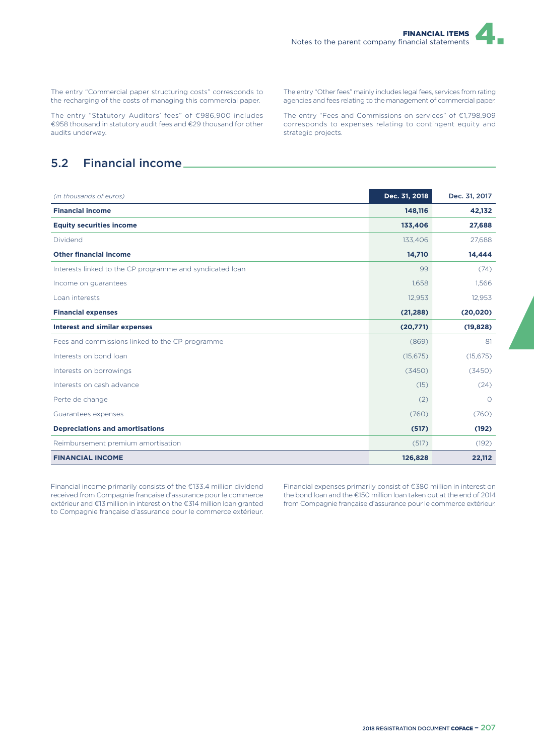The entry "Commercial paper structuring costs" corresponds to the recharging of the costs of managing this commercial paper.

The entry "Statutory Auditors' fees" of €986,900 includes €958 thousand in statutory audit fees and €29 thousand for other audits underway.

## 5.2 Financial income

*(in thousands of euros)* **Dec. 31, 2018** Dec. 31, 2017 **Financial income 148,116 42,132 Equity securities income 133,406 27,688** Dividend 133,406 27,688 **Other financial income 14,710 14,444** Interests linked to the CP programme and syndicated loan 88 (74) 89 (74) Income on guarantees 1,566 1,566 1,566 1,566 1,566 1,566 1,566 1,566 1,566 1,566 1,566 1,566 1,566 1,566 1,566 Loan interests 12,953 12,953 **Financial expenses (21,288) (20,020) Interest and similar expenses (20,771) (19,828)** Fees and commissions linked to the CP programme (869) 81 Interests on bond loan (15,675) (15,675) Interests on borrowings (3450) (3450) Interests on cash advance (15) (24) Perte de change and the change of the contract of the change of the contract of the change of the change of the change of the change of the change of the change of the change of the change of the change of the change of th Guarantees expenses (760) (760) (760) (760) (760) (760) (760) (760) (760) (760) (760) (760) (760) (760) (760) **Depreciations and amortisations (517) (192)** Reimbursement premium amortisation and the control of the control of the control of the control of the control of the control of the control of the control of the control of the control of the control of the control of the

**FINANCIAL INCOME 126,828 22,112**

Financial income primarily consists of the €133.4 million dividend received from Compagnie française d'assurance pour le commerce extérieur and €13 million in interest on the €314 million loan granted to Compagnie française d'assurance pour le commerce extérieur.

Financial expenses primarily consist of €380 million in interest on the bond loan and the €150 million loan taken out at the end of 2014 from Compagnie française d'assurance pour le commerce extérieur.

The entry "Other fees" mainly includes legal fees, services from rating agencies and fees relating to the management of commercial paper.

The entry "Fees and Commissions on services" of €1,798,909 corresponds to expenses relating to contingent equity and strategic projects.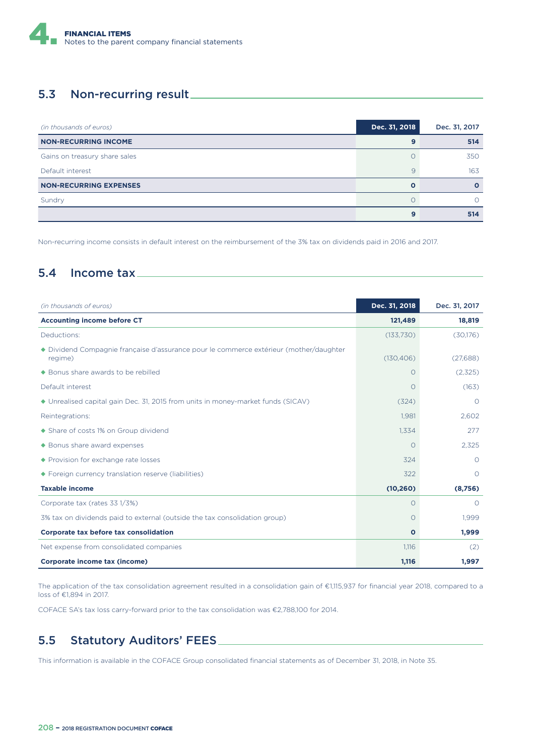

### 5.3 Non-recurring result

| (in thousands of euros)       | Dec. 31, 2018 | Dec. 31, 2017 |
|-------------------------------|---------------|---------------|
| <b>NON-RECURRING INCOME</b>   | 9             | 514           |
| Gains on treasury share sales |               | 350           |
| Default interest              | 9             | 163           |
| <b>NON-RECURRING EXPENSES</b> | $\Omega$      |               |
| Sundry                        |               |               |
|                               | 9             | 514           |

Non-recurring income consists in default interest on the reimbursement of the 3% tax on dividends paid in 2016 and 2017.

### 5.4 Income tax

| (in thousands of euros)                                                                         | Dec. 31, 2018 | Dec. 31, 2017 |
|-------------------------------------------------------------------------------------------------|---------------|---------------|
| <b>Accounting income before CT</b>                                                              | 121,489       | 18,819        |
| Deductions:                                                                                     | (133,730)     | (30,176)      |
| Dividend Compagnie française d'assurance pour le commerce extérieur (mother/daughter<br>regime) | (130, 406)    | (27,688)      |
| ◆ Bonus share awards to be rebilled                                                             | $\Omega$      | (2,325)       |
| Default interest                                                                                | $\Omega$      | (163)         |
| ◆ Unrealised capital gain Dec. 31, 2015 from units in money-market funds (SICAV)                | (324)         | $\Omega$      |
| Reintegrations:                                                                                 | 1,981         | 2.602         |
| ◆ Share of costs 1% on Group dividend                                                           | 1,334         | 277           |
| ◆ Bonus share award expenses                                                                    | $\Omega$      | 2,325         |
| ◆ Provision for exchange rate losses                                                            | 324           | $\circ$       |
| ◆ Foreign currency translation reserve (liabilities)                                            | 322           | $\Omega$      |
| <b>Taxable income</b>                                                                           | (10, 260)     | (8,756)       |
| Corporate tax (rates 33 1/3%)                                                                   | $\Omega$      | $\Omega$      |
| 3% tax on dividends paid to external (outside the tax consolidation group)                      | $\circ$       | 1,999         |
| Corporate tax before tax consolidation                                                          | $\mathbf{o}$  | 1,999         |
| Net expense from consolidated companies                                                         | 1.116         | (2)           |
| Corporate income tax (income)                                                                   | 1,116         | 1,997         |

The application of the tax consolidation agreement resulted in a consolidation gain of €1,115,937 for financial year 2018, compared to a loss of €1,894 in 2017.

COFACE SA's tax loss carry-forward prior to the tax consolidation was €2,788,100 for 2014.

## 5.5 Statutory Auditors' FEES

This information is available in the COFACE Group consolidated financial statements as of December 31, 2018, in Note 35.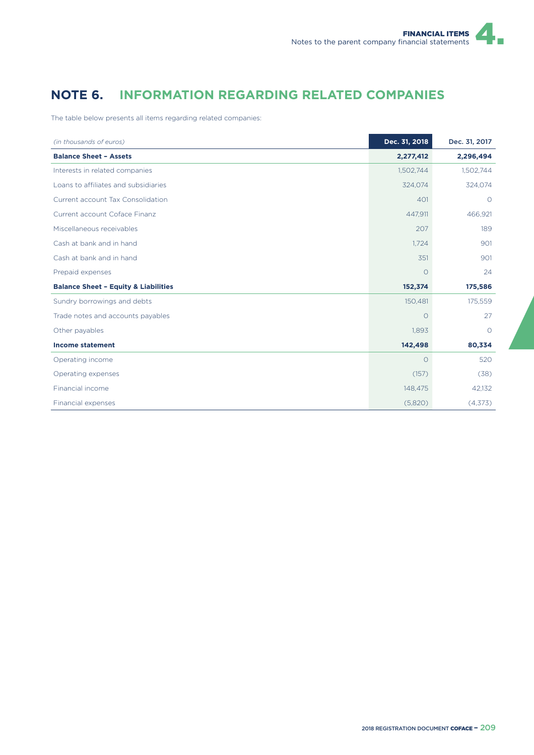# **NOTE 6. INFORMATION REGARDING RELATED COMPANIES**

The table below presents all items regarding related companies:

| (in thousands of euros)                         | Dec. 31, 2018 | Dec. 31, 2017 |
|-------------------------------------------------|---------------|---------------|
| <b>Balance Sheet - Assets</b>                   | 2,277,412     | 2,296,494     |
| Interests in related companies                  | 1,502,744     | 1,502,744     |
| Loans to affiliates and subsidiaries            | 324,074       | 324,074       |
| Current account Tax Consolidation               | 401           | $\circ$       |
| Current account Coface Finanz                   | 447,911       | 466,921       |
| Miscellaneous receivables                       | 207           | 189           |
| Cash at bank and in hand                        | 1,724         | 901           |
| Cash at bank and in hand                        | 351           | 901           |
| Prepaid expenses                                | O             | 24            |
| <b>Balance Sheet - Equity &amp; Liabilities</b> | 152,374       | 175,586       |
| Sundry borrowings and debts                     | 150,481       | 175,559       |
| Trade notes and accounts payables               | $\Omega$      | 27            |
| Other payables                                  | 1,893         | $\circ$       |
| <b>Income statement</b>                         | 142,498       | 80,334        |
| Operating income                                | $\circ$       | 520           |
| Operating expenses                              | (157)         | (38)          |
| Financial income                                | 148,475       | 42,132        |
| Financial expenses                              | (5,820)       | (4,373)       |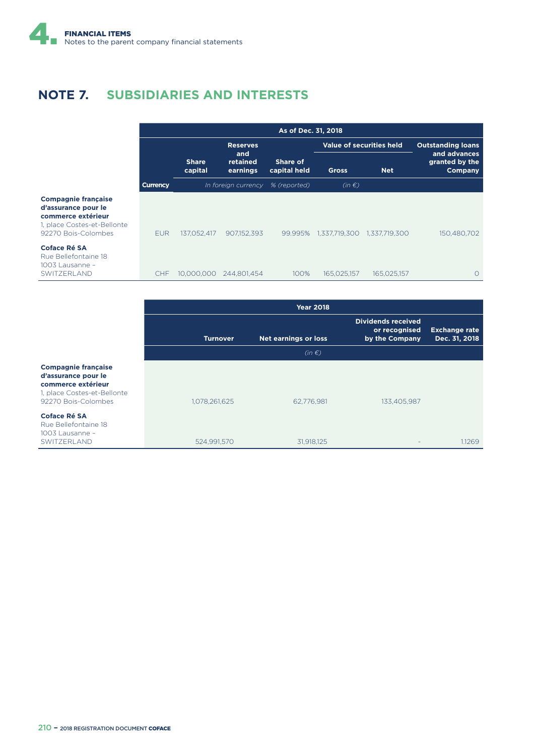# **NOTE 7. SUBSIDIARIES AND INTERESTS**

|                 |                         |                             | As of Dec. 31, 2018      |                          |                             |                                           |
|-----------------|-------------------------|-----------------------------|--------------------------|--------------------------|-----------------------------|-------------------------------------------|
|                 |                         | <b>Reserves</b>             |                          | Value of securities held |                             | <b>Outstanding loans</b>                  |
|                 | <b>Share</b><br>capital | and<br>retained<br>earnings | Share of<br>capital held | <b>Gross</b>             | <b>Net</b>                  | and advances<br>granted by the<br>Company |
| <b>Currency</b> |                         | In foreign currency         | % (reported)             | $(in \in)$               |                             |                                           |
| <b>EUR</b>      | 137,052,417             | 907,152,393                 | 99.995%                  |                          | 1,337,719,300 1,337,719,300 | 150,480,702                               |
| CHF             | 10,000,000              | 244,801,454                 | 100%                     | 165,025,157              | 165,025,157                 |                                           |

#### **Compagnie française d'assurance pour le commerce extérieur** 1, place Costes-et-Bellonte 92270 Bois-Colombes **Coface Ré SA**

Rue Bellefontaine 18 1003 Lausanne – SWITZERLAND

|                                                                                                                               | <b>Year 2018</b> |                             |                                                              |                                       |  |
|-------------------------------------------------------------------------------------------------------------------------------|------------------|-----------------------------|--------------------------------------------------------------|---------------------------------------|--|
|                                                                                                                               | <b>Turnover</b>  | <b>Net earnings or loss</b> | <b>Dividends received</b><br>or recognised<br>by the Company | <b>Exchange rate</b><br>Dec. 31, 2018 |  |
|                                                                                                                               |                  | $(in \in)$                  |                                                              |                                       |  |
| <b>Compagnie française</b><br>d'assurance pour le<br>commerce extérieur<br>1, place Costes-et-Bellonte<br>92270 Bois-Colombes | 1,078,261,625    | 62,776,981                  | 133,405,987                                                  |                                       |  |
| Coface Ré SA<br>Rue Bellefontaine 18<br>1003 Lausanne -<br>SWITZERLAND                                                        | 524,991,570      | 31,918,125                  |                                                              | 1.1269                                |  |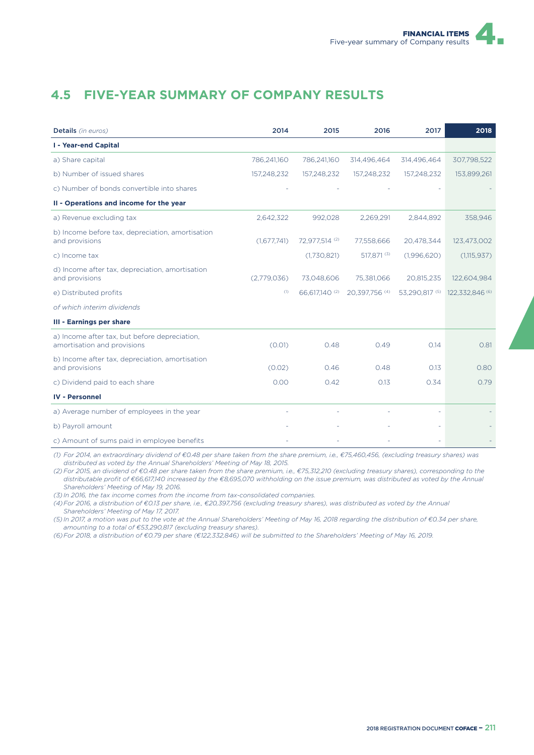# **4.5 FIVE-YEAR SUMMARY OF COMPANY RESULTS**

| Details (in euros)                                                           | 2014        | 2015           | 2016           | 2017           | 2018            |
|------------------------------------------------------------------------------|-------------|----------------|----------------|----------------|-----------------|
| <b>I - Year-end Capital</b>                                                  |             |                |                |                |                 |
| a) Share capital                                                             | 786,241,160 | 786,241,160    | 314,496,464    | 314,496,464    | 307,798,522     |
| b) Number of issued shares                                                   | 157,248,232 | 157,248,232    | 157,248,232    | 157,248,232    | 153,899,261     |
| c) Number of bonds convertible into shares                                   |             |                |                |                |                 |
| II - Operations and income for the year                                      |             |                |                |                |                 |
| a) Revenue excluding tax                                                     | 2,642,322   | 992,028        | 2,269,291      | 2,844,892      | 358,946         |
| b) Income before tax, depreciation, amortisation<br>and provisions           | (1,677,741) | 72,977,514 (2) | 77,558,666     | 20,478,344     | 123,473,002     |
| c) Income tax                                                                |             | (1,730,821)    | 517,871 (3)    | (1,996,620)    | (1,115,937)     |
| d) Income after tax, depreciation, amortisation<br>and provisions            | (2,779,036) | 73,048,606     | 75,381,066     | 20,815,235     | 122,604,984     |
| e) Distributed profits                                                       | (1)         | 66,617,140 (2) | 20,397,756 (4) | 53,290,817 (5) | 122,332,846 (6) |
| of which interim dividends                                                   |             |                |                |                |                 |
| <b>III - Earnings per share</b>                                              |             |                |                |                |                 |
| a) Income after tax, but before depreciation,<br>amortisation and provisions | (0.01)      | 0.48           | 0.49           | 0.14           | 0.81            |
| b) Income after tax, depreciation, amortisation<br>and provisions            | (0.02)      | 0.46           | 0.48           | 0.13           | 0.80            |
| c) Dividend paid to each share                                               | 0.00        | 0.42           | 0.13           | 0.34           | 0.79            |
| <b>IV - Personnel</b>                                                        |             |                |                |                |                 |
| a) Average number of employees in the year                                   |             |                |                |                |                 |
| b) Payroll amount                                                            |             |                |                |                |                 |
| c) Amount of sums paid in employee benefits                                  |             |                |                |                |                 |

*(1) For 2014, an extraordinary dividend of €0.48 per share taken from the share premium, i.e., €75,460,456, (excluding treasury shares) was distributed as voted by the Annual Shareholders' Meeting of May 18, 2015.*

*(2) For 2015, an dividend of €0.48 per share taken from the share premium, i.e., €75,312,210 (excluding treasury shares), corresponding to the distributable profit of €66,617,140 increased by the €8,695,070 withholding on the issue premium, was distributed as voted by the Annual Shareholders' Meeting of May 19, 2016.*

*(3) In 2016, the tax income comes from the income from tax-consolidated companies.*

*(4) For 2016, a distribution of €0.13 per share, i.e., €20,397,756 (excluding treasury shares), was distributed as voted by the Annual Shareholders' Meeting of May 17, 2017.*

*(5) In 2017, a motion was put to the vote at the Annual Shareholders' Meeting of May 16, 2018 regarding the distribution of €0.34 per share, amounting to a total of €53,290,817 (excluding treasury shares).* 

*(6) For 2018, a distribution of €0.79 per share (€122,332,846) will be submitted to the Shareholders' Meeting of May 16, 2019.*